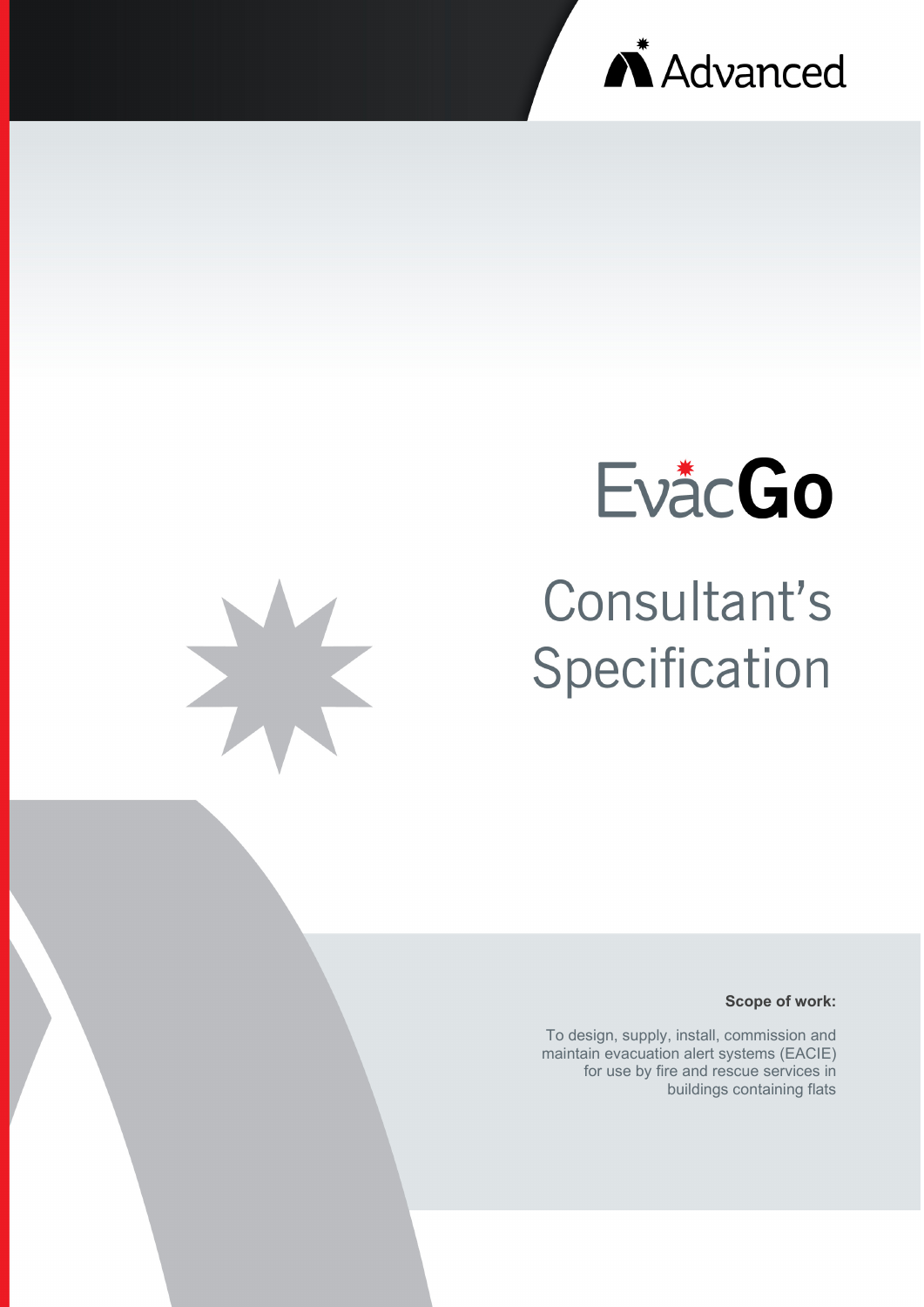



# Consultant's Specification

**Scope of work:**

To design, supply, install, commission and maintain evacuation alert systems (EACIE) for use by fire and rescue services in buildings containing flats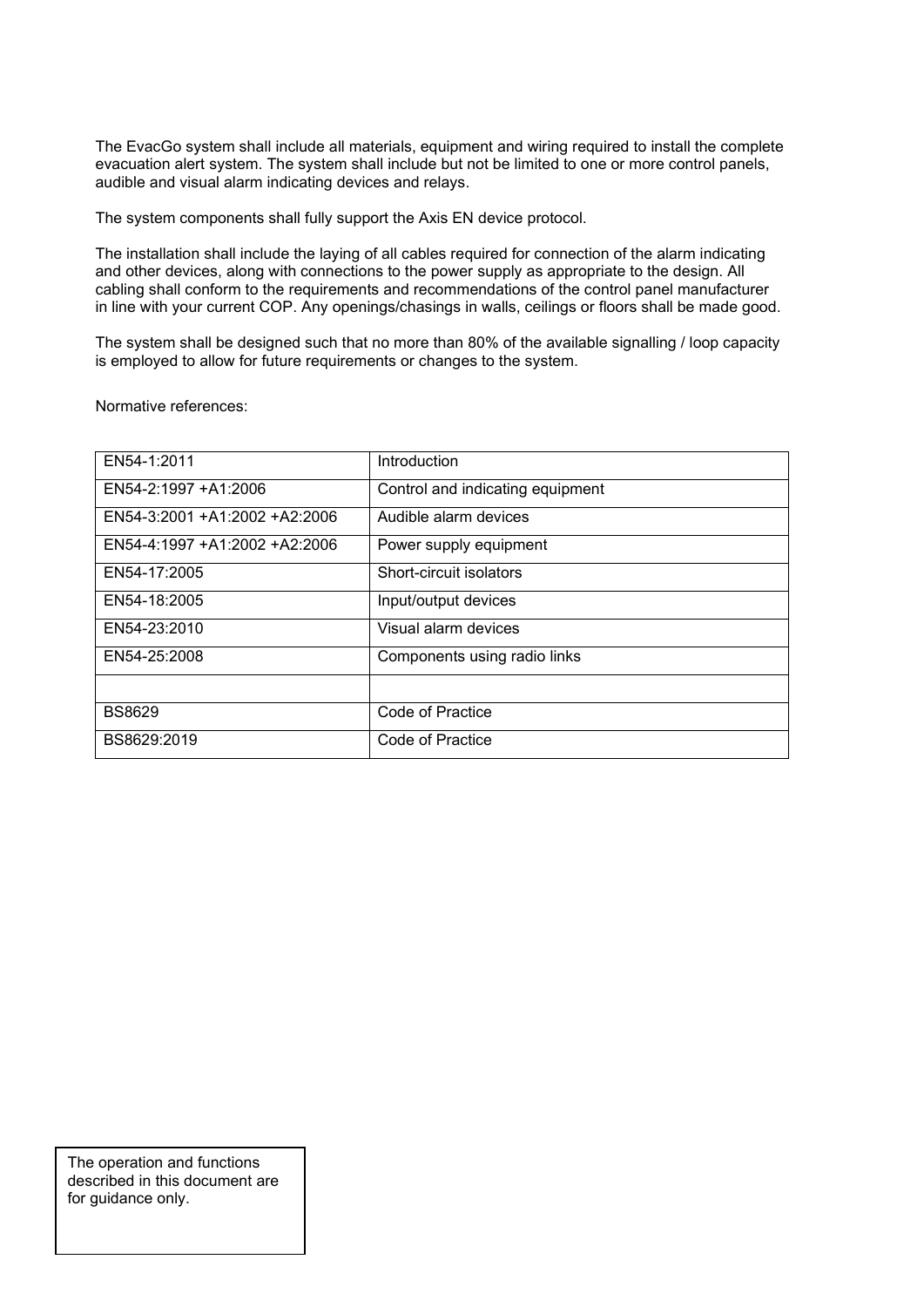The EvacGo system shall include all materials, equipment and wiring required to install the complete evacuation alert system. The system shall include but not be limited to one or more control panels, audible and visual alarm indicating devices and relays.

The system components shall fully support the Axis EN device protocol.

The installation shall include the laying of all cables required for connection of the alarm indicating and other devices, along with connections to the power supply as appropriate to the design. All cabling shall conform to the requirements and recommendations of the control panel manufacturer in line with your current COP. Any openings/chasings in walls, ceilings or floors shall be made good.

The system shall be designed such that no more than 80% of the available signalling / loop capacity is employed to allow for future requirements or changes to the system.

Normative references:

| EN54-1:2011                   | Introduction                     |
|-------------------------------|----------------------------------|
| EN54-2:1997 +A1:2006          | Control and indicating equipment |
| EN54-3:2001 +A1:2002 +A2:2006 | Audible alarm devices            |
| EN54-4:1997 +A1:2002 +A2:2006 | Power supply equipment           |
| EN54-17:2005                  | Short-circuit isolators          |
| EN54-18:2005                  | Input/output devices             |
| EN54-23:2010                  | Visual alarm devices             |
| EN54-25:2008                  | Components using radio links     |
|                               |                                  |
| <b>BS8629</b>                 | Code of Practice                 |
| BS8629:2019                   | Code of Practice                 |

The operation and functions described in this document are for guidance only.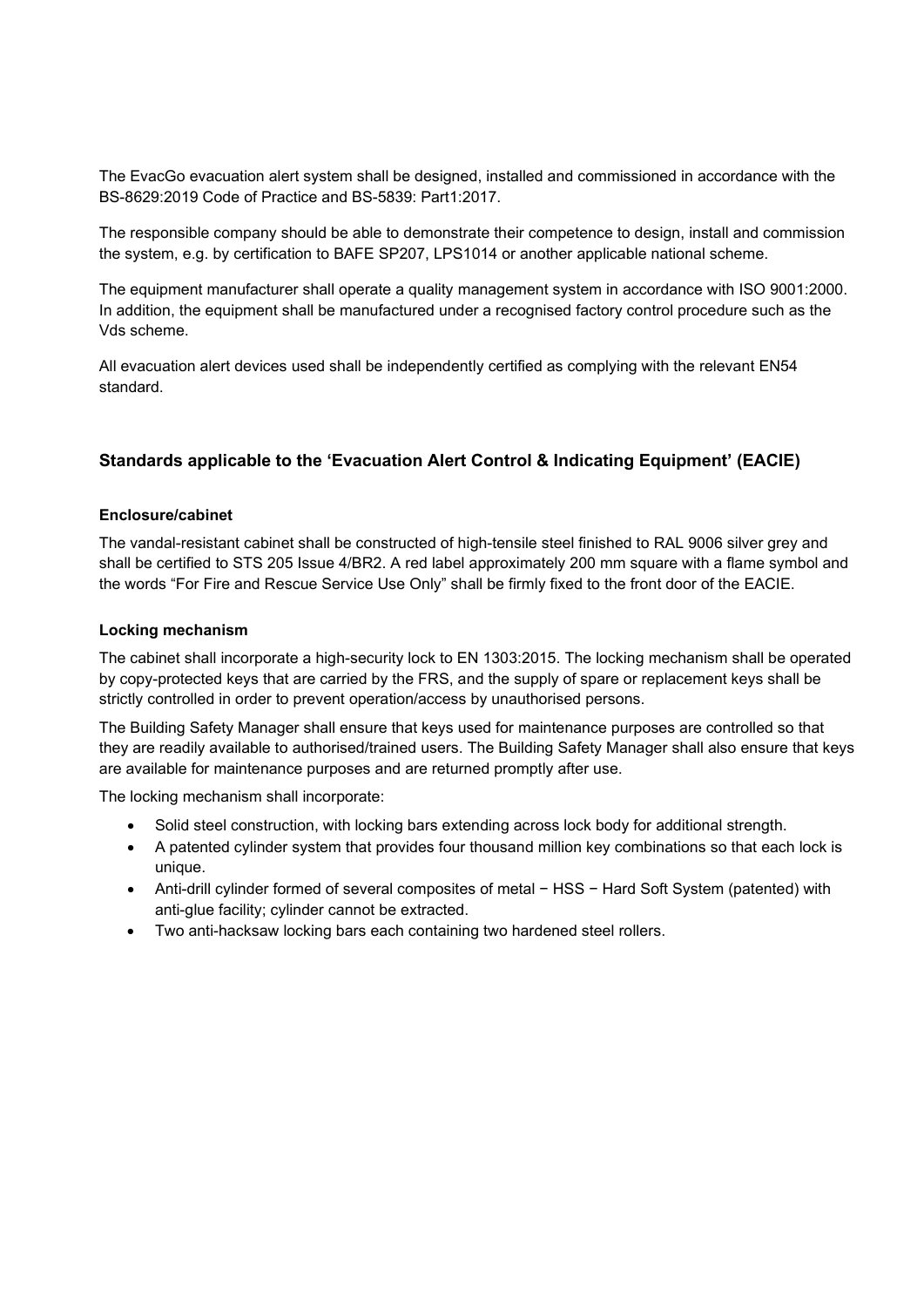The EvacGo evacuation alert system shall be designed, installed and commissioned in accordance with the BS-8629:2019 Code of Practice and BS-5839: Part1:2017.

The responsible company should be able to demonstrate their competence to design, install and commission the system, e.g. by certification to BAFE SP207, LPS1014 or another applicable national scheme.

The equipment manufacturer shall operate a quality management system in accordance with ISO 9001:2000. In addition, the equipment shall be manufactured under a recognised factory control procedure such as the Vds scheme.

All evacuation alert devices used shall be independently certified as complying with the relevant EN54 standard.

# **Standards applicable to the 'Evacuation Alert Control & Indicating Equipment' (EACIE)**

# **Enclosure/cabinet**

The vandal-resistant cabinet shall be constructed of high-tensile steel finished to RAL 9006 silver grey and shall be certified to STS 205 Issue 4/BR2. A red label approximately 200 mm square with a flame symbol and the words "For Fire and Rescue Service Use Only" shall be firmly fixed to the front door of the EACIE.

#### **Locking mechanism**

The cabinet shall incorporate a high-security lock to EN 1303:2015. The locking mechanism shall be operated by copy-protected keys that are carried by the FRS, and the supply of spare or replacement keys shall be strictly controlled in order to prevent operation/access by unauthorised persons.

The Building Safety Manager shall ensure that keys used for maintenance purposes are controlled so that they are readily available to authorised/trained users. The Building Safety Manager shall also ensure that keys are available for maintenance purposes and are returned promptly after use.

The locking mechanism shall incorporate:

- Solid steel construction, with locking bars extending across lock body for additional strength.
- A patented cylinder system that provides four thousand million key combinations so that each lock is unique.
- Anti-drill cylinder formed of several composites of metal − HSS − Hard Soft System (patented) with anti-glue facility; cylinder cannot be extracted.
- Two anti-hacksaw locking bars each containing two hardened steel rollers.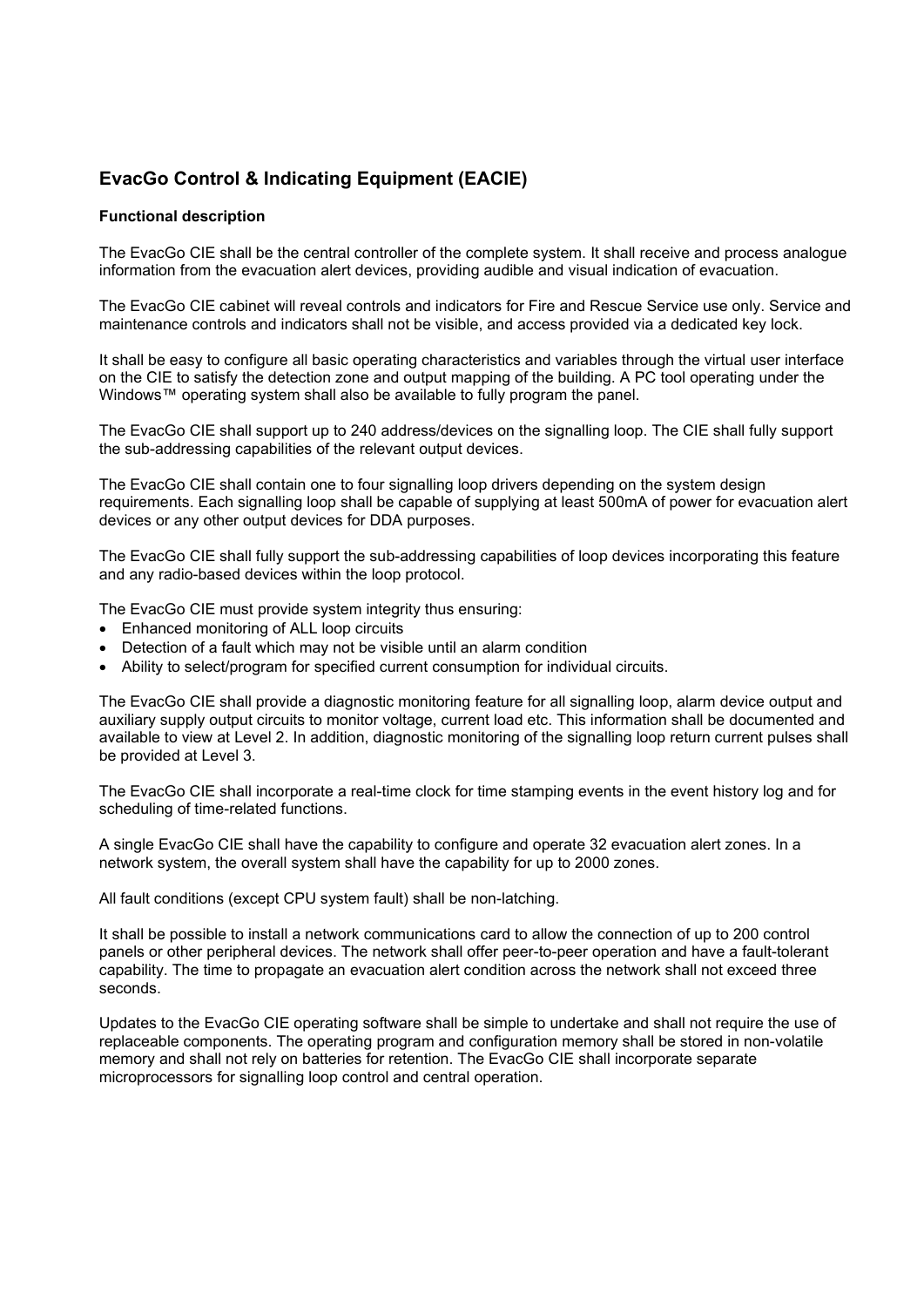# **EvacGo Control & Indicating Equipment (EACIE)**

#### **Functional description**

The EvacGo CIE shall be the central controller of the complete system. It shall receive and process analogue information from the evacuation alert devices, providing audible and visual indication of evacuation.

The EvacGo CIE cabinet will reveal controls and indicators for Fire and Rescue Service use only. Service and maintenance controls and indicators shall not be visible, and access provided via a dedicated key lock.

It shall be easy to configure all basic operating characteristics and variables through the virtual user interface on the CIE to satisfy the detection zone and output mapping of the building. A PC tool operating under the Windows™ operating system shall also be available to fully program the panel.

The EvacGo CIE shall support up to 240 address/devices on the signalling loop. The CIE shall fully support the sub-addressing capabilities of the relevant output devices.

The EvacGo CIE shall contain one to four signalling loop drivers depending on the system design requirements. Each signalling loop shall be capable of supplying at least 500mA of power for evacuation alert devices or any other output devices for DDA purposes.

The EvacGo CIE shall fully support the sub-addressing capabilities of loop devices incorporating this feature and any radio-based devices within the loop protocol.

The EvacGo CIE must provide system integrity thus ensuring:

- Enhanced monitoring of ALL loop circuits
- Detection of a fault which may not be visible until an alarm condition
- Ability to select/program for specified current consumption for individual circuits.

The EvacGo CIE shall provide a diagnostic monitoring feature for all signalling loop, alarm device output and auxiliary supply output circuits to monitor voltage, current load etc. This information shall be documented and available to view at Level 2. In addition, diagnostic monitoring of the signalling loop return current pulses shall be provided at Level 3.

The EvacGo CIE shall incorporate a real-time clock for time stamping events in the event history log and for scheduling of time-related functions.

A single EvacGo CIE shall have the capability to configure and operate 32 evacuation alert zones. In a network system, the overall system shall have the capability for up to 2000 zones.

All fault conditions (except CPU system fault) shall be non-latching.

It shall be possible to install a network communications card to allow the connection of up to 200 control panels or other peripheral devices. The network shall offer peer-to-peer operation and have a fault-tolerant capability. The time to propagate an evacuation alert condition across the network shall not exceed three seconds.

Updates to the EvacGo CIE operating software shall be simple to undertake and shall not require the use of replaceable components. The operating program and configuration memory shall be stored in non-volatile memory and shall not rely on batteries for retention. The EvacGo CIE shall incorporate separate microprocessors for signalling loop control and central operation.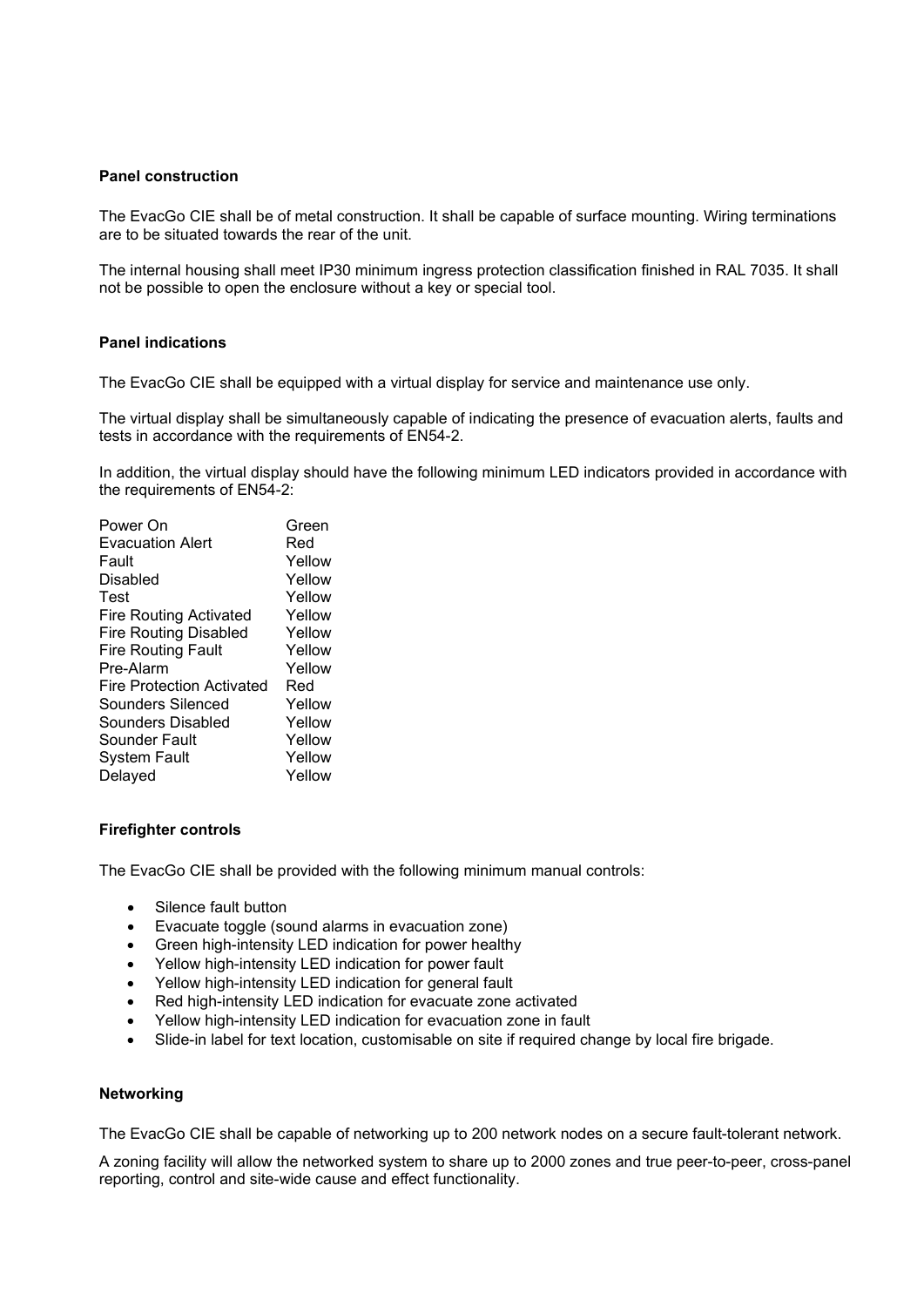#### **Panel construction**

The EvacGo CIE shall be of metal construction. It shall be capable of surface mounting. Wiring terminations are to be situated towards the rear of the unit.

The internal housing shall meet IP30 minimum ingress protection classification finished in RAL 7035. It shall not be possible to open the enclosure without a key or special tool.

#### **Panel indications**

The EvacGo CIE shall be equipped with a virtual display for service and maintenance use only.

The virtual display shall be simultaneously capable of indicating the presence of evacuation alerts, faults and tests in accordance with the requirements of EN54-2.

In addition, the virtual display should have the following minimum LED indicators provided in accordance with the requirements of EN54-2:

| Green  |
|--------|
| Red    |
| Yellow |
| Yellow |
| Yellow |
| Yellow |
| Yellow |
| Yellow |
| Yellow |
| Red    |
| Yellow |
| Yellow |
| Yellow |
| Yellow |
| Yellow |
|        |

#### **Firefighter controls**

The EvacGo CIE shall be provided with the following minimum manual controls:

- Silence fault button
- Evacuate toggle (sound alarms in evacuation zone)
- Green high-intensity LED indication for power healthy
- Yellow high-intensity LED indication for power fault
- Yellow high-intensity LED indication for general fault
- Red high-intensity LED indication for evacuate zone activated
- Yellow high-intensity LED indication for evacuation zone in fault
- Slide-in label for text location, customisable on site if required change by local fire brigade.

#### **Networking**

The EvacGo CIE shall be capable of networking up to 200 network nodes on a secure fault-tolerant network.

A zoning facility will allow the networked system to share up to 2000 zones and true peer-to-peer, cross-panel reporting, control and site-wide cause and effect functionality.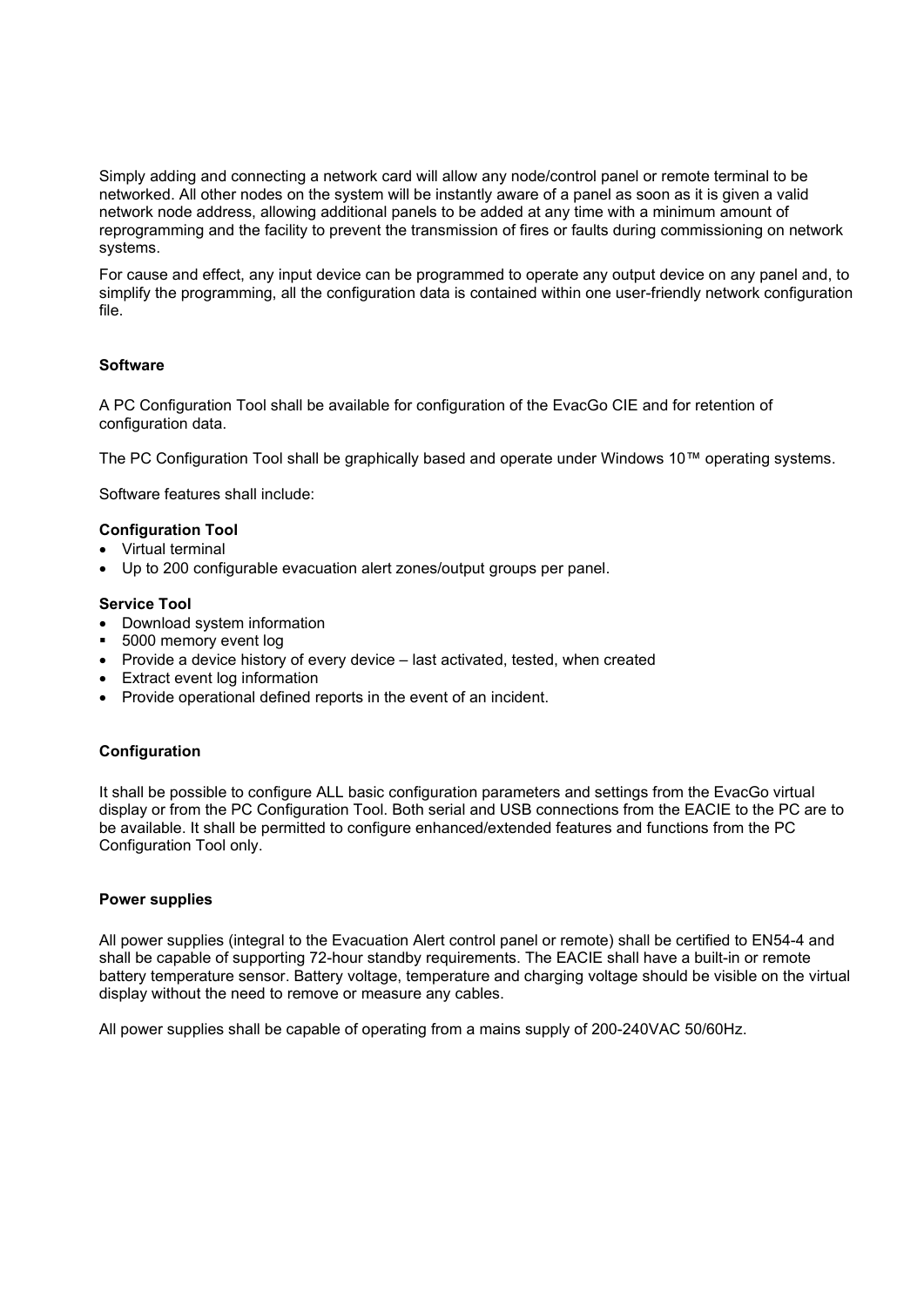Simply adding and connecting a network card will allow any node/control panel or remote terminal to be networked. All other nodes on the system will be instantly aware of a panel as soon as it is given a valid network node address, allowing additional panels to be added at any time with a minimum amount of reprogramming and the facility to prevent the transmission of fires or faults during commissioning on network systems.

For cause and effect, any input device can be programmed to operate any output device on any panel and, to simplify the programming, all the configuration data is contained within one user-friendly network configuration file.

# **Software**

A PC Configuration Tool shall be available for configuration of the EvacGo CIE and for retention of configuration data.

The PC Configuration Tool shall be graphically based and operate under Windows 10™ operating systems.

Software features shall include:

# **Configuration Tool**

- Virtual terminal
- Up to 200 configurable evacuation alert zones/output groups per panel.

#### **Service Tool**

- Download system information
- 5000 memory event log
- Provide a device history of every device last activated, tested, when created
- Extract event log information
- Provide operational defined reports in the event of an incident.

# **Configuration**

It shall be possible to configure ALL basic configuration parameters and settings from the EvacGo virtual display or from the PC Configuration Tool. Both serial and USB connections from the EACIE to the PC are to be available. It shall be permitted to configure enhanced/extended features and functions from the PC Configuration Tool only.

#### **Power supplies**

All power supplies (integral to the Evacuation Alert control panel or remote) shall be certified to EN54-4 and shall be capable of supporting 72-hour standby requirements. The EACIE shall have a built-in or remote battery temperature sensor. Battery voltage, temperature and charging voltage should be visible on the virtual display without the need to remove or measure any cables.

All power supplies shall be capable of operating from a mains supply of 200-240VAC 50/60Hz.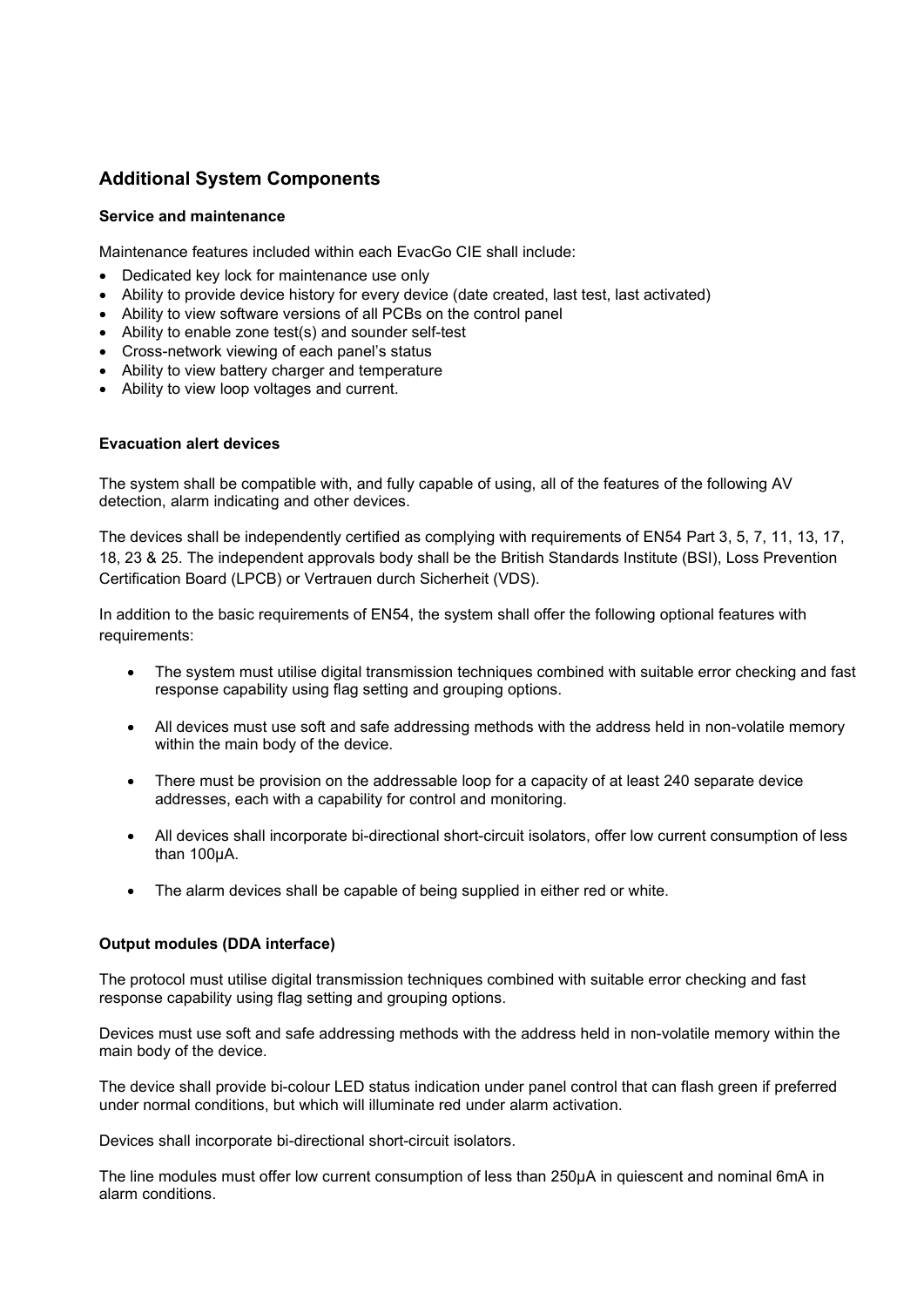# **Additional System Components**

#### **Service and maintenance**

Maintenance features included within each EvacGo CIE shall include:

- Dedicated key lock for maintenance use only
- Ability to provide device history for every device (date created, last test, last activated)
- Ability to view software versions of all PCBs on the control panel
- Ability to enable zone test(s) and sounder self-test
- Cross-network viewing of each panel's status
- Ability to view battery charger and temperature
- Ability to view loop voltages and current.

#### **Evacuation alert devices**

The system shall be compatible with, and fully capable of using, all of the features of the following AV detection, alarm indicating and other devices.

The devices shall be independently certified as complying with requirements of EN54 Part 3, 5, 7, 11, 13, 17, 18, 23 & 25. The independent approvals body shall be the British Standards Institute (BSI), Loss Prevention Certification Board (LPCB) or Vertrauen durch Sicherheit (VDS).

In addition to the basic requirements of EN54, the system shall offer the following optional features with requirements:

- The system must utilise digital transmission techniques combined with suitable error checking and fast response capability using flag setting and grouping options.
- All devices must use soft and safe addressing methods with the address held in non-volatile memory within the main body of the device.
- There must be provision on the addressable loop for a capacity of at least 240 separate device addresses, each with a capability for control and monitoring.
- All devices shall incorporate bi-directional short-circuit isolators, offer low current consumption of less than 100µA.
- The alarm devices shall be capable of being supplied in either red or white.

# **Output modules (DDA interface)**

The protocol must utilise digital transmission techniques combined with suitable error checking and fast response capability using flag setting and grouping options.

Devices must use soft and safe addressing methods with the address held in non-volatile memory within the main body of the device.

The device shall provide bi-colour LED status indication under panel control that can flash green if preferred under normal conditions, but which will illuminate red under alarm activation.

Devices shall incorporate bi-directional short-circuit isolators.

The line modules must offer low current consumption of less than 250µA in quiescent and nominal 6mA in alarm conditions.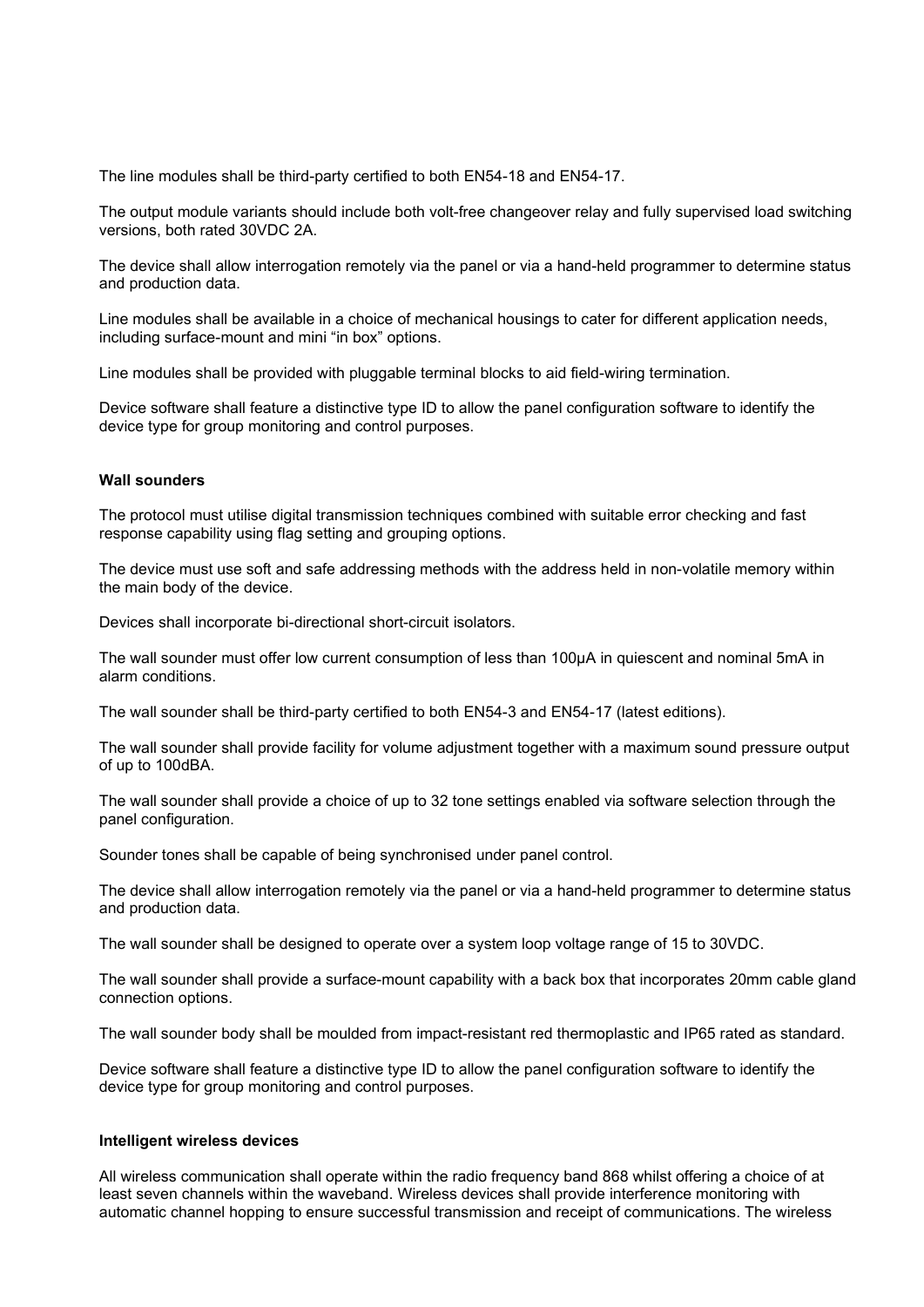The line modules shall be third-party certified to both EN54-18 and EN54-17.

The output module variants should include both volt-free changeover relay and fully supervised load switching versions, both rated 30VDC 2A.

The device shall allow interrogation remotely via the panel or via a hand-held programmer to determine status and production data.

Line modules shall be available in a choice of mechanical housings to cater for different application needs, including surface-mount and mini "in box" options.

Line modules shall be provided with pluggable terminal blocks to aid field-wiring termination.

Device software shall feature a distinctive type ID to allow the panel configuration software to identify the device type for group monitoring and control purposes.

#### **Wall sounders**

The protocol must utilise digital transmission techniques combined with suitable error checking and fast response capability using flag setting and grouping options.

The device must use soft and safe addressing methods with the address held in non-volatile memory within the main body of the device.

Devices shall incorporate bi-directional short-circuit isolators.

The wall sounder must offer low current consumption of less than 100µA in quiescent and nominal 5mA in alarm conditions.

The wall sounder shall be third-party certified to both EN54-3 and EN54-17 (latest editions).

The wall sounder shall provide facility for volume adjustment together with a maximum sound pressure output of up to 100dBA.

The wall sounder shall provide a choice of up to 32 tone settings enabled via software selection through the panel configuration.

Sounder tones shall be capable of being synchronised under panel control.

The device shall allow interrogation remotely via the panel or via a hand-held programmer to determine status and production data.

The wall sounder shall be designed to operate over a system loop voltage range of 15 to 30VDC.

The wall sounder shall provide a surface-mount capability with a back box that incorporates 20mm cable gland connection options.

The wall sounder body shall be moulded from impact-resistant red thermoplastic and IP65 rated as standard.

Device software shall feature a distinctive type ID to allow the panel configuration software to identify the device type for group monitoring and control purposes.

#### **Intelligent wireless devices**

All wireless communication shall operate within the radio frequency band 868 whilst offering a choice of at least seven channels within the waveband. Wireless devices shall provide interference monitoring with automatic channel hopping to ensure successful transmission and receipt of communications. The wireless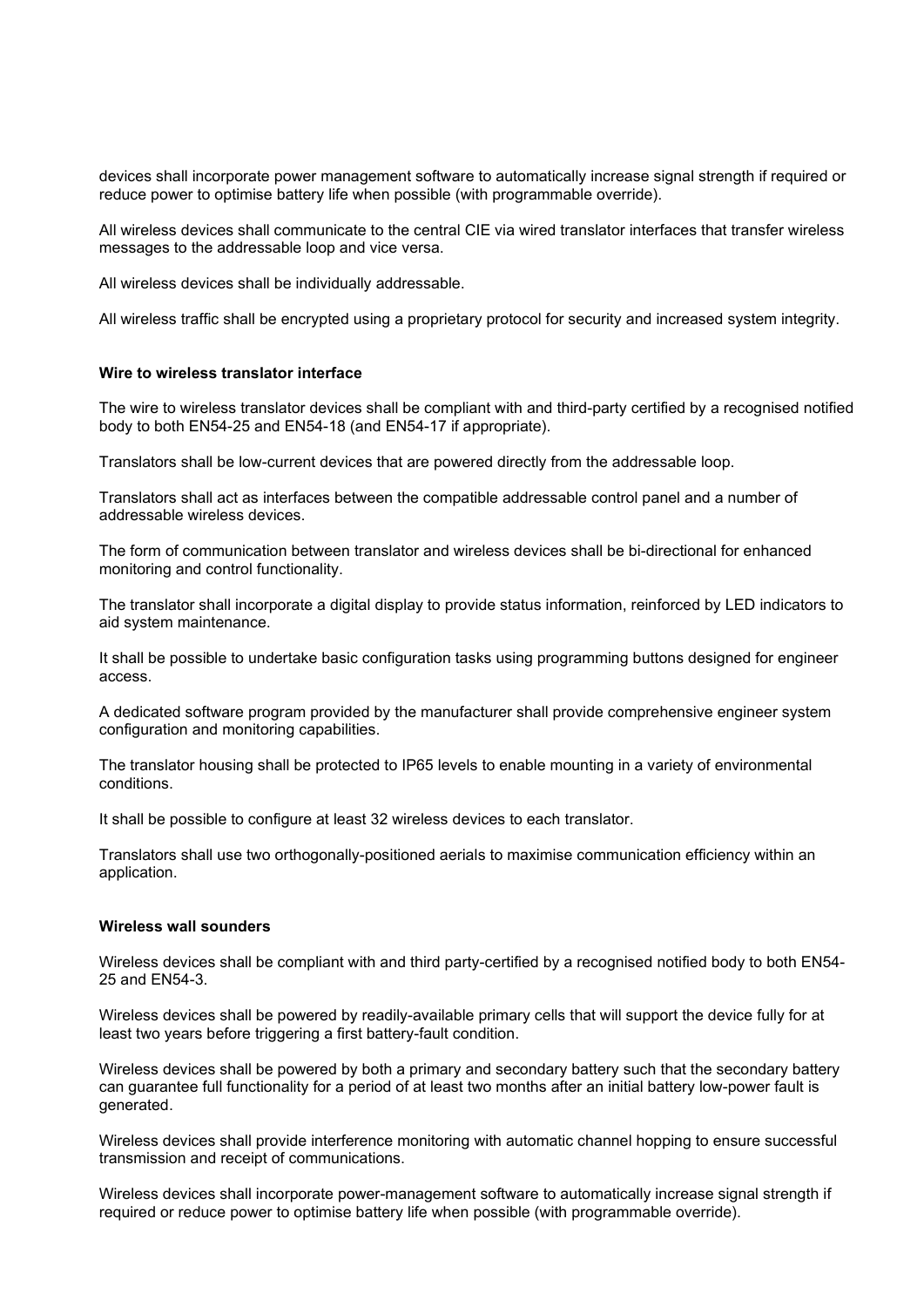devices shall incorporate power management software to automatically increase signal strength if required or reduce power to optimise battery life when possible (with programmable override).

All wireless devices shall communicate to the central CIE via wired translator interfaces that transfer wireless messages to the addressable loop and vice versa.

All wireless devices shall be individually addressable.

All wireless traffic shall be encrypted using a proprietary protocol for security and increased system integrity.

# **Wire to wireless translator interface**

The wire to wireless translator devices shall be compliant with and third-party certified by a recognised notified body to both EN54-25 and EN54-18 (and EN54-17 if appropriate).

Translators shall be low-current devices that are powered directly from the addressable loop.

Translators shall act as interfaces between the compatible addressable control panel and a number of addressable wireless devices.

The form of communication between translator and wireless devices shall be bi-directional for enhanced monitoring and control functionality.

The translator shall incorporate a digital display to provide status information, reinforced by LED indicators to aid system maintenance.

It shall be possible to undertake basic configuration tasks using programming buttons designed for engineer access.

A dedicated software program provided by the manufacturer shall provide comprehensive engineer system configuration and monitoring capabilities.

The translator housing shall be protected to IP65 levels to enable mounting in a variety of environmental conditions.

It shall be possible to configure at least 32 wireless devices to each translator.

Translators shall use two orthogonally-positioned aerials to maximise communication efficiency within an application.

#### **Wireless wall sounders**

Wireless devices shall be compliant with and third party-certified by a recognised notified body to both EN54- 25 and EN54-3.

Wireless devices shall be powered by readily-available primary cells that will support the device fully for at least two years before triggering a first battery-fault condition.

Wireless devices shall be powered by both a primary and secondary battery such that the secondary battery can guarantee full functionality for a period of at least two months after an initial battery low-power fault is generated.

Wireless devices shall provide interference monitoring with automatic channel hopping to ensure successful transmission and receipt of communications.

Wireless devices shall incorporate power-management software to automatically increase signal strength if required or reduce power to optimise battery life when possible (with programmable override).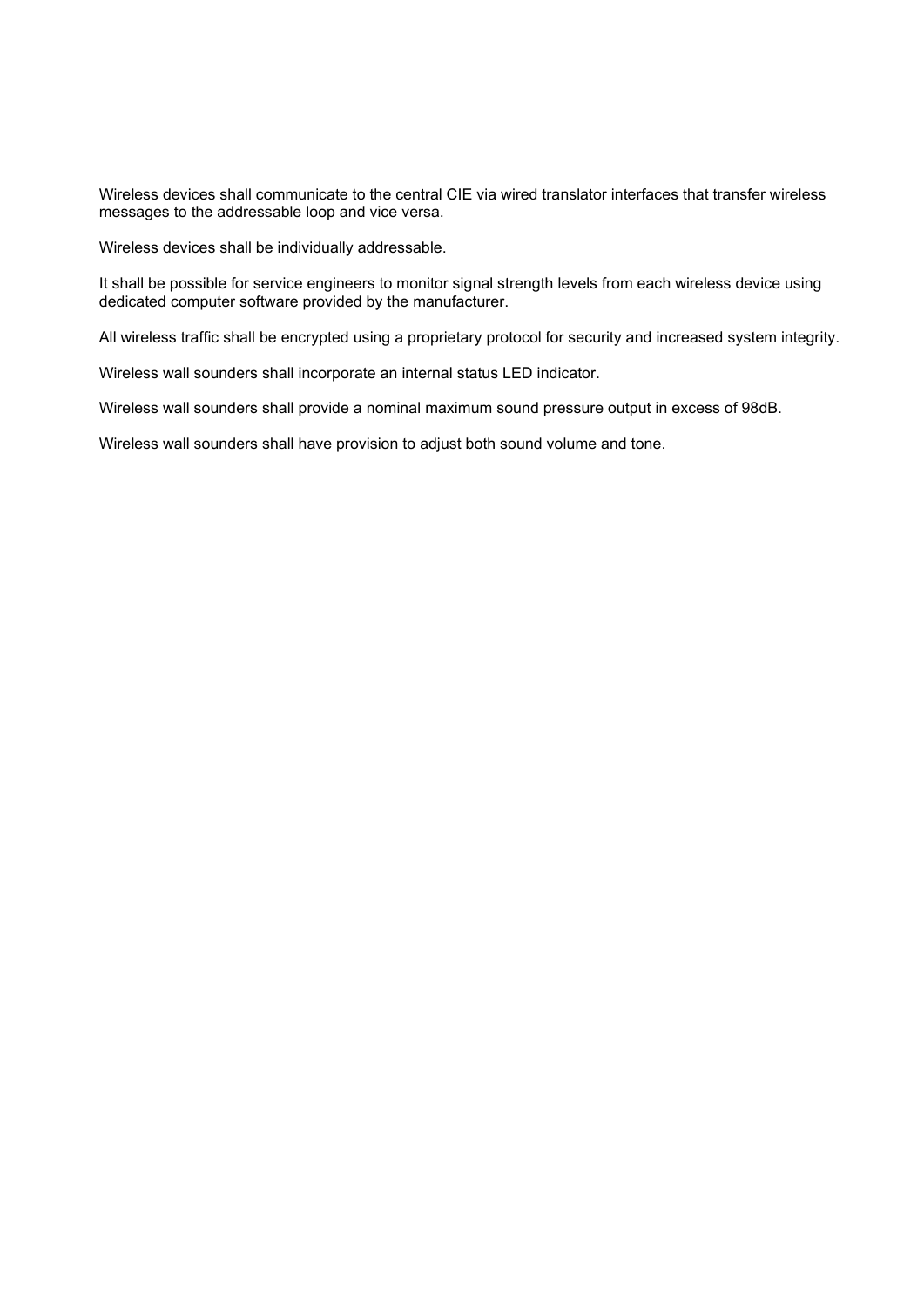Wireless devices shall communicate to the central CIE via wired translator interfaces that transfer wireless messages to the addressable loop and vice versa.

Wireless devices shall be individually addressable.

It shall be possible for service engineers to monitor signal strength levels from each wireless device using dedicated computer software provided by the manufacturer.

All wireless traffic shall be encrypted using a proprietary protocol for security and increased system integrity.

Wireless wall sounders shall incorporate an internal status LED indicator.

Wireless wall sounders shall provide a nominal maximum sound pressure output in excess of 98dB.

Wireless wall sounders shall have provision to adjust both sound volume and tone.